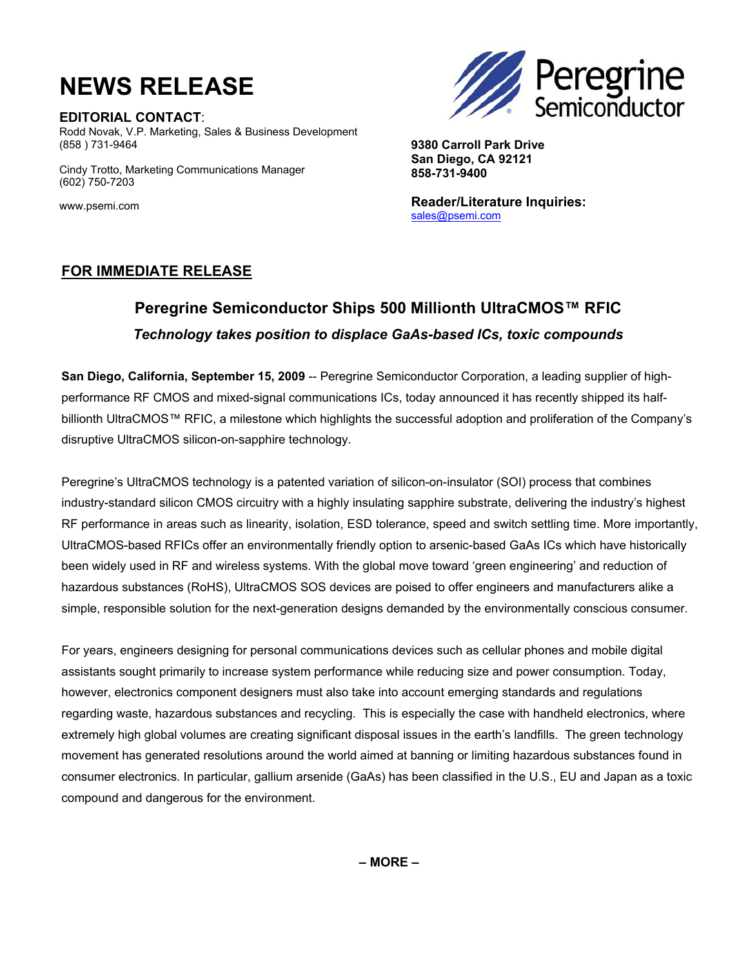# **NEWS RELEASE**

**EDITORIAL CONTACT**: Rodd Novak, V.P. Marketing, Sales & Business Development (858 ) 731-9464

 (602) 750-7203 Cindy Trotto, Marketing Communications Manager **Peregrine**<br>Semiconductor

**9380 Carroll Park Drive San Diego, CA 92121 858-731-9400** 

**Reader/Literature Inquiries:**  sales@psemi.com

www.psemi.com

### **FOR IMMEDIATE RELEASE**

### **Peregrine Semiconductor Ships 500 Millionth UltraCMOS™ RFIC**  *Technology takes position to displace GaAs-based ICs, toxic compounds*

**San Diego, California, September 15, 2009** -- Peregrine Semiconductor Corporation, a leading supplier of highperformance RF CMOS and mixed-signal communications ICs, today announced it has recently shipped its halfbillionth UltraCMOS™ RFIC, a milestone which highlights the successful adoption and proliferation of the Company's disruptive UltraCMOS silicon-on-sapphire technology.

Peregrine's UltraCMOS technology is a patented variation of silicon-on-insulator (SOI) process that combines industry-standard silicon CMOS circuitry with a highly insulating sapphire substrate, delivering the industry's highest RF performance in areas such as linearity, isolation, ESD tolerance, speed and switch settling time. More importantly, UltraCMOS-based RFICs offer an environmentally friendly option to arsenic-based GaAs ICs which have historically been widely used in RF and wireless systems. With the global move toward 'green engineering' and reduction of hazardous substances (RoHS), UltraCMOS SOS devices are poised to offer engineers and manufacturers alike a simple, responsible solution for the next-generation designs demanded by the environmentally conscious consumer.

For years, engineers designing for personal communications devices such as cellular phones and mobile digital assistants sought primarily to increase system performance while reducing size and power consumption. Today, however, electronics component designers must also take into account emerging standards and regulations regarding waste, hazardous substances and recycling. This is especially the case with handheld electronics, where extremely high global volumes are creating significant disposal issues in the earth's landfills. The green technology movement has generated resolutions around the world aimed at banning or limiting hazardous substances found in consumer electronics. In particular, gallium arsenide (GaAs) has been classified in the U.S., EU and Japan as a toxic compound and dangerous for the environment.

**– MORE –**